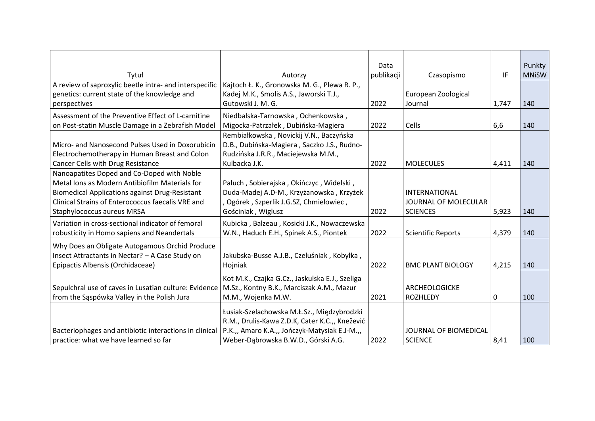|                                                                                                                                                                                                                                                 |                                                                                                                                                                                      | Data       |                                                                 |       | Punkty       |
|-------------------------------------------------------------------------------------------------------------------------------------------------------------------------------------------------------------------------------------------------|--------------------------------------------------------------------------------------------------------------------------------------------------------------------------------------|------------|-----------------------------------------------------------------|-------|--------------|
| Tytuł                                                                                                                                                                                                                                           | Autorzy                                                                                                                                                                              | publikacji | Czasopismo                                                      | IF    | <b>MNiSW</b> |
| A review of saproxylic beetle intra- and interspecific                                                                                                                                                                                          | Kajtoch Ł. K., Gronowska M. G., Plewa R. P.,                                                                                                                                         |            |                                                                 |       |              |
| genetics: current state of the knowledge and                                                                                                                                                                                                    | Kadej M.K., Smolis A.S., Jaworski T.J.,                                                                                                                                              |            | European Zoological                                             |       |              |
| perspectives                                                                                                                                                                                                                                    | Gutowski J. M. G.                                                                                                                                                                    | 2022       | Journal                                                         | 1,747 | 140          |
| Assessment of the Preventive Effect of L-carnitine                                                                                                                                                                                              | Niedbalska-Tarnowska, Ochenkowska,                                                                                                                                                   |            |                                                                 |       |              |
| on Post-statin Muscle Damage in a Zebrafish Model                                                                                                                                                                                               | Migocka-Patrzałek, Dubińska-Magiera                                                                                                                                                  | 2022       | Cells                                                           | 6,6   | 140          |
| Micro- and Nanosecond Pulses Used in Doxorubicin<br>Electrochemotherapy in Human Breast and Colon<br>Cancer Cells with Drug Resistance                                                                                                          | Rembiałkowska, Novickij V.N., Baczyńska<br>D.B., Dubińska-Magiera, Saczko J.S., Rudno-<br>Rudzińska J.R.R., Maciejewska M.M.,<br>Kulbacka J.K.                                       | 2022       | <b>MOLECULES</b>                                                | 4,411 | 140          |
| Nanoapatites Doped and Co-Doped with Noble<br>Metal Ions as Modern Antibiofilm Materials for<br><b>Biomedical Applications against Drug-Resistant</b><br><b>Clinical Strains of Enterococcus faecalis VRE and</b><br>Staphylococcus aureus MRSA | Paluch, Sobierajska, Okińczyc, Widelski,<br>Duda-Madej A.D-M., Krzyżanowska, Krzyżek<br>, Ogórek, Szperlik J.G.SZ, Chmielowiec,<br>Gościniak, Wiglusz                                | 2022       | <b>INTERNATIONAL</b><br>JOURNAL OF MOLECULAR<br><b>SCIENCES</b> | 5,923 | 140          |
| Variation in cross-sectional indicator of femoral<br>robusticity in Homo sapiens and Neandertals                                                                                                                                                | Kubicka, Balzeau, Kosicki J.K., Nowaczewska<br>W.N., Haduch E.H., Spinek A.S., Piontek                                                                                               | 2022       | <b>Scientific Reports</b>                                       | 4,379 | 140          |
| Why Does an Obligate Autogamous Orchid Produce<br>Insect Attractants in Nectar? - A Case Study on<br>Epipactis Albensis (Orchidaceae)                                                                                                           | Jakubska-Busse A.J.B., Czeluśniak, Kobyłka,<br>Hojniak                                                                                                                               | 2022       | <b>BMC PLANT BIOLOGY</b>                                        | 4,215 | 140          |
| Sepulchral use of caves in Lusatian culture: Evidence<br>from the Sąspówka Valley in the Polish Jura                                                                                                                                            | Kot M.K., Czajka G.Cz., Jaskulska E.J., Szeliga<br>M.Sz., Kontny B.K., Marciszak A.M., Mazur<br>M.M., Wojenka M.W.                                                                   | 2021       | ARCHEOLOGICKE<br><b>ROZHLEDY</b>                                | 0     | 100          |
| Bacteriophages and antibiotic interactions in clinical<br>practice: what we have learned so far                                                                                                                                                 | Łusiak-Szelachowska M.Ł.Sz., Międzybrodzki<br>R.M., Drulis-Kawa Z.D.K, Cater K.C.,, Knežević<br>P.K.,, Amaro K.A.,, Jończyk-Matysiak E.J-M.,,<br>Weber-Dabrowska B.W.D., Górski A.G. | 2022       | JOURNAL OF BIOMEDICAL<br><b>SCIENCE</b>                         | 8,41  | 100          |